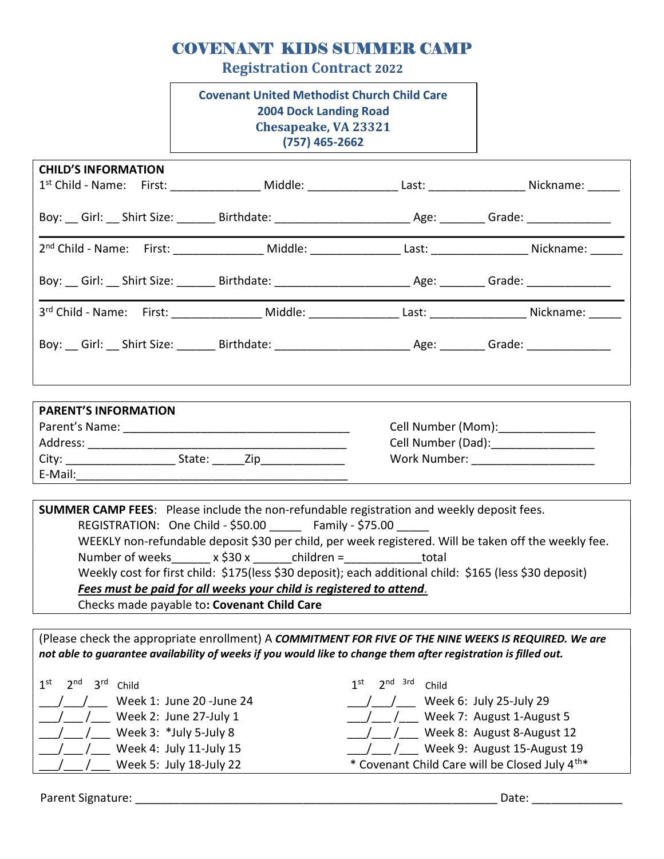## COVENANT KIDS SUMMER CAMP

Registration Contract 2022

Covenant United Methodist Church Child Care 2004 Dock Landing Road Chesapeake, VA 23321 (757) 465-2662

| <b>CHILD'S INFORMATION</b><br>1 <sup>st</sup> Child - Name: First: _______________ Middle: _______________ Last: __________________ Nickname: _____ |  |  |
|-----------------------------------------------------------------------------------------------------------------------------------------------------|--|--|
| Boy: Girl: Shirt Size: Summer Birthdate: Channel Cheese Age: Channel Cheese Contact: Cheese Spine Cheese Chees                                      |  |  |
|                                                                                                                                                     |  |  |
| Boy: Girl: Shirt Size: Summar Birthdate: Channel Cheese Age: Channel Cheese Content Cheese Content Cheese Chee                                      |  |  |
| 3rd Child - Name: First: Middle: Last: Last: Nickname: Nickname:                                                                                    |  |  |
| Boy: Cirl: Shirt Size: Chirt Size: Birthdate: Chinage Line and Age: Chinage: Canade: Chinage Shirt Size: China                                      |  |  |
|                                                                                                                                                     |  |  |

| <b>PARENT'S INFORMATION</b> |                    |
|-----------------------------|--------------------|
| Parent's Name:              | Cell Number (Mom): |
| Address:                    | Cell Number (Dad): |
| City:<br>State:<br>Zin      | Work Number:       |
| E-Mail:                     |                    |

SUMMER CAMP FEES: Please include the non-refundable registration and weekly deposit fees. REGISTRATION: One Child - \$50.00 Family - \$75.00 WEEKLY non-refundable deposit \$30 per child, per week registered. Will be taken off the weekly fee. Number of weeks  $x \le 30 x$  children = total Weekly cost for first child: \$175(less \$30 deposit); each additional child: \$165 (less \$30 deposit) Fees must be paid for all weeks your child is registered to attend. Checks made payable to: Covenant Child Care

(Please check the appropriate enrollment) A COMMITMENT FOR FIVE OF THE NINE WEEKS IS REQUIRED. We are not able to guarantee availability of weeks if you would like to change them after registration is filled out.

1<sup>st</sup> 2<sup>nd</sup> 3<sup>rd</sup> Child  $1<sup>s</sup>$  $\frac{1}{2}$  / $\frac{1}{2}$  Week 1: June 20 -June 24  $\frac{1}{2}$  / Week 2: June 27-July 1  $\frac{1}{2}$  / Week 3:  $*$ July 5-July 8 / / Week 4: July 11-July 15 Week 5: July 18-July 22

| $2nd$ 3rd<br>1st                                           | Child                            |  |  |
|------------------------------------------------------------|----------------------------------|--|--|
|                                                            | Week 6: July 25-July 29          |  |  |
|                                                            | /___ Week 7: August 1-August 5   |  |  |
|                                                            | /___ Week 8: August 8-August 12  |  |  |
|                                                            | /___ Week 9: August 15-August 19 |  |  |
| * Covenant Child Care will be Closed July 4 <sup>th*</sup> |                                  |  |  |
|                                                            |                                  |  |  |

Parent Signature: \_\_\_\_\_\_\_\_\_\_\_\_\_\_\_\_\_\_\_\_\_\_\_\_\_\_\_\_\_\_\_\_\_\_\_\_\_\_\_\_\_\_\_\_\_\_\_\_\_\_\_\_\_\_\_\_ Date: \_\_\_\_\_\_\_\_\_\_\_\_\_\_